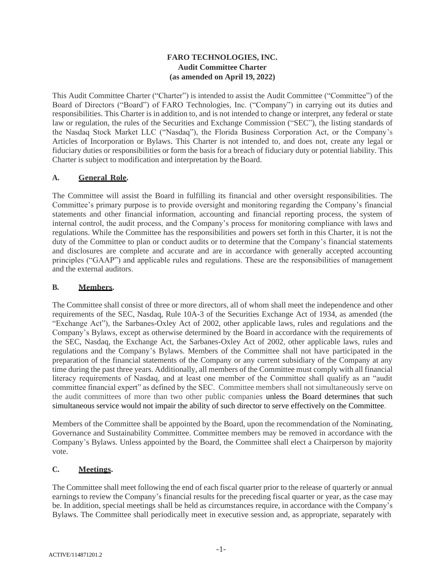### **FARO TECHNOLOGIES, INC. Audit Committee Charter (as amended on April 19, 2022)**

This Audit Committee Charter ("Charter") is intended to assist the Audit Committee ("Committee") of the Board of Directors ("Board") of FARO Technologies, Inc. ("Company") in carrying out its duties and responsibilities. This Charter is in addition to, and is not intended to change or interpret, any federal or state law or regulation, the rules of the Securities and Exchange Commission ("SEC"), the listing standards of the Nasdaq Stock Market LLC ("Nasdaq"), the Florida Business Corporation Act, or the Company's Articles of Incorporation or Bylaws. This Charter is not intended to, and does not, create any legal or fiduciary duties or responsibilities or form the basis for a breach of fiduciary duty or potential liability. This Charter is subject to modification and interpretation by the Board.

# **A. General Role.**

The Committee will assist the Board in fulfilling its financial and other oversight responsibilities. The Committee's primary purpose is to provide oversight and monitoring regarding the Company's financial statements and other financial information, accounting and financial reporting process, the system of internal control, the audit process, and the Company's process for monitoring compliance with laws and regulations. While the Committee has the responsibilities and powers set forth in this Charter, it is not the duty of the Committee to plan or conduct audits or to determine that the Company's financial statements and disclosures are complete and accurate and are in accordance with generally accepted accounting principles ("GAAP") and applicable rules and regulations. These are the responsibilities of management and the external auditors.

### **B. Members.**

The Committee shall consist of three or more directors, all of whom shall meet the independence and other requirements of the SEC, Nasdaq, Rule 10A-3 of the Securities Exchange Act of 1934, as amended (the "Exchange Act"), the Sarbanes-Oxley Act of 2002, other applicable laws, rules and regulations and the Company's Bylaws, except as otherwise determined by the Board in accordance with the requirements of the SEC, Nasdaq, the Exchange Act, the Sarbanes-Oxley Act of 2002, other applicable laws, rules and regulations and the Company's Bylaws. Members of the Committee shall not have participated in the preparation of the financial statements of the Company or any current subsidiary of the Company at any time during the past three years. Additionally, all members of the Committee must comply with all financial literacy requirements of Nasdaq, and at least one member of the Committee shall qualify as an "audit committee financial expert" as defined by the SEC. Committee members shall not simultaneously serve on the audit committees of more than two other public companies unless the Board determines that such simultaneous service would not impair the ability of such director to serve effectively on the Committee.

Members of the Committee shall be appointed by the Board, upon the recommendation of the Nominating, Governance and Sustainability Committee. Committee members may be removed in accordance with the Company's Bylaws. Unless appointed by the Board, the Committee shall elect a Chairperson by majority vote.

# **C. Meetings.**

The Committee shall meet following the end of each fiscal quarter prior to the release of quarterly or annual earnings to review the Company's financial results for the preceding fiscal quarter or year, as the case may be. In addition, special meetings shall be held as circumstances require, in accordance with the Company's Bylaws. The Committee shall periodically meet in executive session and, as appropriate, separately with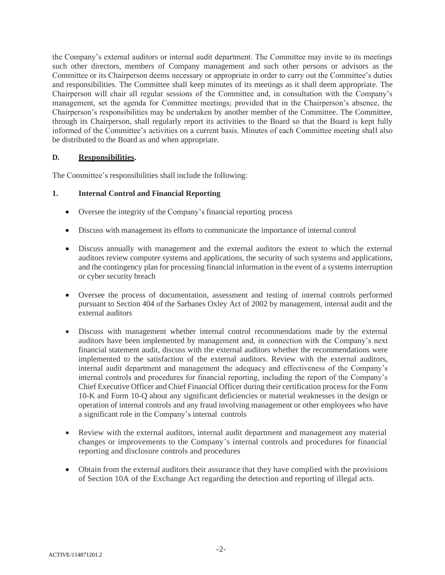the Company's external auditors or internal audit department. The Committee may invite to its meetings such other directors, members of Company management and such other persons or advisors as the Committee or its Chairperson deems necessary or appropriate in order to carry out the Committee's duties and responsibilities. The Committee shall keep minutes of its meetings as it shall deem appropriate. The Chairperson will chair all regular sessions of the Committee and, in consultation with the Company's management, set the agenda for Committee meetings; provided that in the Chairperson's absence, the Chairperson's responsibilities may be undertaken by another member of the Committee. The Committee, through its Chairperson, shall regularly report its activities to the Board so that the Board is kept fully informed of the Committee's activities on a current basis. Minutes of each Committee meeting shall also be distributed to the Board as and when appropriate.

#### **D. Responsibilities.**

The Committee's responsibilities shall include the following:

#### **1. Internal Control and Financial Reporting**

- Oversee the integrity of the Company's financial reporting process
- Discuss with management its efforts to communicate the importance of internal control
- Discuss annually with management and the external auditors the extent to which the external auditors review computer systems and applications, the security of such systems and applications, and the contingency plan for processing financial information in the event of a systems interruption or cyber security breach
- Oversee the process of documentation, assessment and testing of internal controls performed pursuant to Section 404 of the Sarbanes Oxley Act of 2002 by management, internal audit and the external auditors
- Discuss with management whether internal control recommendations made by the external auditors have been implemented by management and, in connection with the Company's next financial statement audit, discuss with the external auditors whether the recommendations were implemented to the satisfaction of the external auditors. Review with the external auditors, internal audit department and management the adequacy and effectiveness of the Company's internal controls and procedures for financial reporting, including the report of the Company's Chief Executive Officer and Chief Financial Officer during their certification process for the Form 10-K and Form 10-Q about any significant deficiencies or material weaknesses in the design or operation of internal controls and any fraud involving management or other employees who have a significant role in the Company's internal controls
- Review with the external auditors, internal audit department and management any material changes or improvements to the Company's internal controls and procedures for financial reporting and disclosure controls and procedures
- Obtain from the external auditors their assurance that they have complied with the provisions of Section 10A of the Exchange Act regarding the detection and reporting of illegal acts.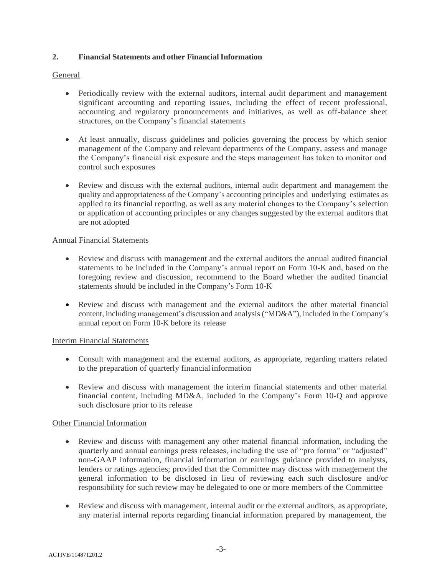#### **2. Financial Statements and other FinancialInformation**

#### General

- Periodically review with the external auditors, internal audit department and management significant accounting and reporting issues, including the effect of recent professional, accounting and regulatory pronouncements and initiatives, as well as off-balance sheet structures, on the Company's financial statements
- At least annually, discuss guidelines and policies governing the process by which senior management of the Company and relevant departments of the Company, assess and manage the Company's financial risk exposure and the steps management has taken to monitor and control such exposures
- Review and discuss with the external auditors, internal audit department and management the quality and appropriateness of the Company's accounting principles and underlying estimates as applied to its financial reporting, as well as any material changes to the Company's selection or application of accounting principles or any changes suggested by the external auditors that are not adopted

#### Annual Financial Statements

- Review and discuss with management and the external auditors the annual audited financial statements to be included in the Company's annual report on Form 10-K and, based on the foregoing review and discussion, recommend to the Board whether the audited financial statements should be included in the Company's Form 10-K
- Review and discuss with management and the external auditors the other material financial content, including management's discussion and analysis ("MD&A"), included in the Company's annual report on Form 10-K before its release

#### Interim Financial Statements

- Consult with management and the external auditors, as appropriate, regarding matters related to the preparation of quarterly financial information
- Review and discuss with management the interim financial statements and other material financial content, including MD&A, included in the Company's Form 10-Q and approve such disclosure prior to its release

### Other Financial Information

- Review and discuss with management any other material financial information, including the quarterly and annual earnings press releases, including the use of "pro forma" or "adjusted" non-GAAP information, financial information or earnings guidance provided to analysts, lenders or ratings agencies; provided that the Committee may discuss with management the general information to be disclosed in lieu of reviewing each such disclosure and/or responsibility for such review may be delegated to one or more members of the Committee
- Review and discuss with management, internal audit or the external auditors, as appropriate, any material internal reports regarding financial information prepared by management, the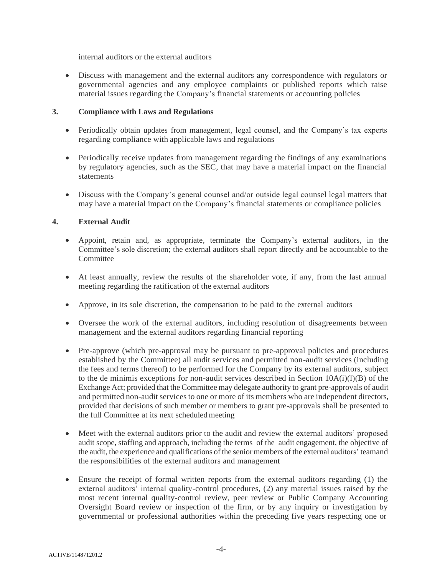internal auditors or the external auditors

• Discuss with management and the external auditors any correspondence with regulators or governmental agencies and any employee complaints or published reports which raise material issues regarding the Company's financial statements or accounting policies

#### **3. Compliance with Laws and Regulations**

- Periodically obtain updates from management, legal counsel, and the Company's tax experts regarding compliance with applicable laws and regulations
- Periodically receive updates from management regarding the findings of any examinations by regulatory agencies, such as the SEC, that may have a material impact on the financial statements
- Discuss with the Company's general counsel and/or outside legal counsel legal matters that may have a material impact on the Company's financial statements or compliance policies

### **4. External Audit**

- Appoint, retain and, as appropriate, terminate the Company's external auditors, in the Committee's sole discretion; the external auditors shall report directly and be accountable to the **Committee**
- At least annually, review the results of the shareholder vote, if any, from the last annual meeting regarding the ratification of the external auditors
- Approve, in its sole discretion, the compensation to be paid to the external auditors
- Oversee the work of the external auditors, including resolution of disagreements between management and the external auditors regarding financial reporting
- Pre-approve (which pre-approval may be pursuant to pre-approval policies and procedures established by the Committee) all audit services and permitted non-audit services (including the fees and terms thereof) to be performed for the Company by its external auditors, subject to the de minimis exceptions for non-audit services described in Section  $10A(i)(l)(B)$  of the Exchange Act; provided that the Committee may delegate authority to grant pre-approvals of audit and permitted non-audit services to one or more of its members who are independent directors, provided that decisions of such member or members to grant pre-approvals shall be presented to the full Committee at its next scheduled meeting
- Meet with the external auditors prior to the audit and review the external auditors' proposed audit scope, staffing and approach, including the terms of the audit engagement, the objective of the audit, the experience and qualifications of the senior members of the external auditors' teamand the responsibilities of the external auditors and management
- Ensure the receipt of formal written reports from the external auditors regarding (1) the external auditors' internal quality-control procedures, (2) any material issues raised by the most recent internal quality-control review, peer review or Public Company Accounting Oversight Board review or inspection of the firm, or by any inquiry or investigation by governmental or professional authorities within the preceding five years respecting one or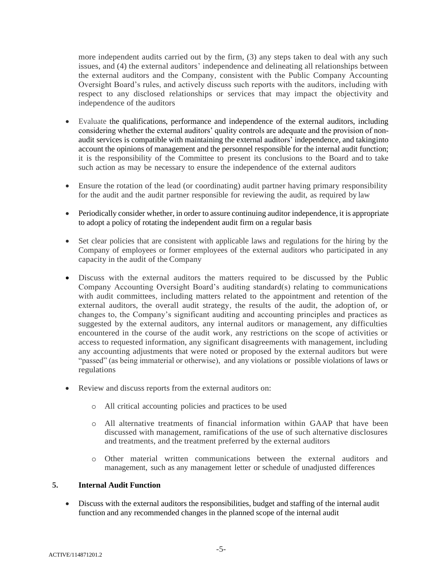more independent audits carried out by the firm, (3) any steps taken to deal with any such issues, and (4) the external auditors' independence and delineating all relationships between the external auditors and the Company, consistent with the Public Company Accounting Oversight Board's rules, and actively discuss such reports with the auditors, including with respect to any disclosed relationships or services that may impact the objectivity and independence of the auditors

- Evaluate the qualifications, performance and independence of the external auditors, including considering whether the external auditors' quality controls are adequate and the provision of nonaudit services is compatible with maintaining the external auditors' independence, and takinginto account the opinions of management and the personnel responsible for the internal audit function; it is the responsibility of the Committee to present its conclusions to the Board and to take such action as may be necessary to ensure the independence of the external auditors
- Ensure the rotation of the lead (or coordinating) audit partner having primary responsibility for the audit and the audit partner responsible for reviewing the audit, as required by law
- Periodically consider whether, in order to assure continuing auditor independence, it is appropriate to adopt a policy of rotating the independent audit firm on a regular basis
- Set clear policies that are consistent with applicable laws and regulations for the hiring by the Company of employees or former employees of the external auditors who participated in any capacity in the audit of the Company
- Discuss with the external auditors the matters required to be discussed by the Public Company Accounting Oversight Board's auditing standard(s) relating to communications with audit committees, including matters related to the appointment and retention of the external auditors, the overall audit strategy, the results of the audit, the adoption of, or changes to, the Company's significant auditing and accounting principles and practices as suggested by the external auditors, any internal auditors or management, any difficulties encountered in the course of the audit work, any restrictions on the scope of activities or access to requested information, any significant disagreements with management, including any accounting adjustments that were noted or proposed by the external auditors but were "passed" (as being immaterial or otherwise), and any violations or possible violations of laws or regulations
- Review and discuss reports from the external auditors on:
	- o All critical accounting policies and practices to be used
	- o All alternative treatments of financial information within GAAP that have been discussed with management, ramifications of the use of such alternative disclosures and treatments, and the treatment preferred by the external auditors
	- o Other material written communications between the external auditors and management, such as any management letter or schedule of unadjusted differences

### **5. Internal Audit Function**

• Discuss with the external auditors the responsibilities, budget and staffing of the internal audit function and any recommended changes in the planned scope of the internal audit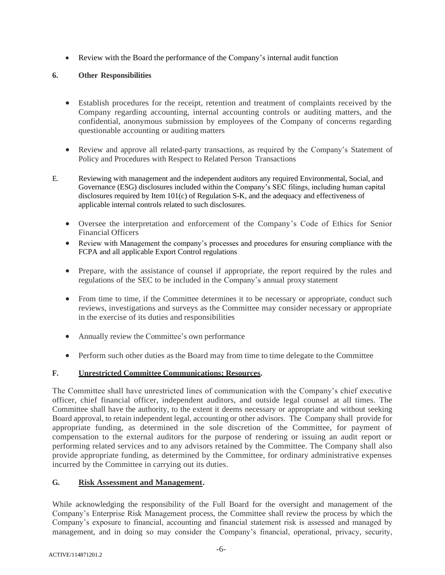• Review with the Board the performance of the Company's internal audit function

# **6. Other Responsibilities**

- Establish procedures for the receipt, retention and treatment of complaints received by the Company regarding accounting, internal accounting controls or auditing matters, and the confidential, anonymous submission by employees of the Company of concerns regarding questionable accounting or auditing matters
- Review and approve all related-party transactions, as required by the Company's Statement of Policy and Procedures with Respect to Related Person Transactions
- E. Reviewing with management and the independent auditors any required Environmental, Social, and Governance (ESG) disclosures included within the Company's SEC filings, including human capital disclosures required by Item 101(c) of Regulation S-K, and the adequacy and effectiveness of applicable internal controls related to such disclosures.
	- Oversee the interpretation and enforcement of the Company's Code of Ethics for Senior Financial Officers
	- Review with Management the company's processes and procedures for ensuring compliance with the FCPA and all applicable Export Control regulations
	- Prepare, with the assistance of counsel if appropriate, the report required by the rules and regulations of the SEC to be included in the Company's annual proxy statement
	- From time to time, if the Committee determines it to be necessary or appropriate, conduct such reviews, investigations and surveys as the Committee may consider necessary or appropriate in the exercise of its duties and responsibilities
	- Annually review the Committee's own performance
	- Perform such other duties as the Board may from time to time delegate to the Committee

### **F. Unrestricted Committee Communications; Resources.**

The Committee shall have unrestricted lines of communication with the Company's chief executive officer, chief financial officer, independent auditors, and outside legal counsel at all times. The Committee shall have the authority, to the extent it deems necessary or appropriate and without seeking Board approval, to retain independent legal, accounting or other advisors. The Company shall provide for appropriate funding, as determined in the sole discretion of the Committee, for payment of compensation to the external auditors for the purpose of rendering or issuing an audit report or performing related services and to any advisors retained by the Committee. The Company shall also provide appropriate funding, as determined by the Committee, for ordinary administrative expenses incurred by the Committee in carrying out its duties.

### **G. Risk Assessment and Management.**

While acknowledging the responsibility of the Full Board for the oversight and management of the Company's Enterprise Risk Management process, the Committee shall review the process by which the Company's exposure to financial, accounting and financial statement risk is assessed and managed by management, and in doing so may consider the Company's financial, operational, privacy, security,